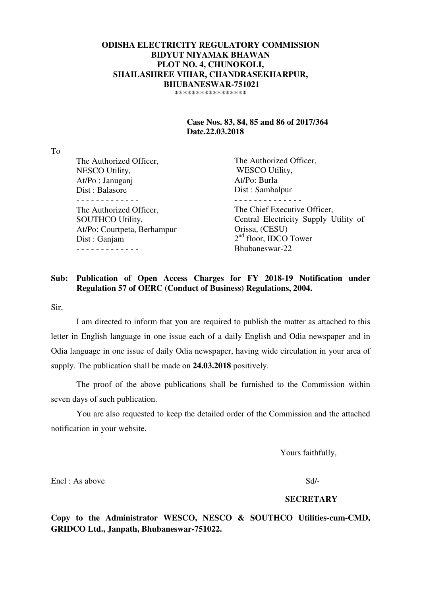### **ODISHA ELECTRICITY REGULATORY COMMISSION BIDYUT NIYAMAK BHAWAN PLOT NO. 4, CHUNOKOLI, SHAILASHREE VIHAR, CHANDRASEKHARPUR, BHUBANESWAR-751021**  \*\*\*\*\*\*\*\*\*\*\*\*\*\*\*\*\*

## **Case Nos. 83, 84, 85 and 86 of 2017/364 Date.22.03.2018**

To

| The Authorized Officer,     | The Authorized Officer,               |
|-----------------------------|---------------------------------------|
| NESCO Utility,              | <b>WESCO Utility,</b>                 |
| At/Po: Januganj             | At/Po: Burla                          |
| Dist: Balasore              | Dist: Sambalpur                       |
|                             |                                       |
| The Authorized Officer,     | The Chief Executive Officer,          |
| <b>SOUTHCO Utility,</b>     | Central Electricity Supply Utility of |
| At/Po: Courtpeta, Berhampur | Orissa, (CESU)                        |
| Dist: Ganjam                | $2nd$ floor, IDCO Tower               |
|                             | Bhubaneswar-22                        |
|                             |                                       |

### **Sub: Publication of Open Access Charges for FY 2018-19 Notification under Regulation 57 of OERC (Conduct of Business) Regulations, 2004.**

Sir,

 I am directed to inform that you are required to publish the matter as attached to this letter in English language in one issue each of a daily English and Odia newspaper and in Odia language in one issue of daily Odia newspaper, having wide circulation in your area of supply. The publication shall be made on **24.03.2018** positively.

 The proof of the above publications shall be furnished to the Commission within seven days of such publication.

 You are also requested to keep the detailed order of the Commission and the attached notification in your website.

Yours faithfully,

Encl : As above Sd/-

#### **SECRETARY**

**Copy to the Administrator WESCO, NESCO & SOUTHCO Utilities-cum-CMD, GRIDCO Ltd., Janpath, Bhubaneswar-751022.**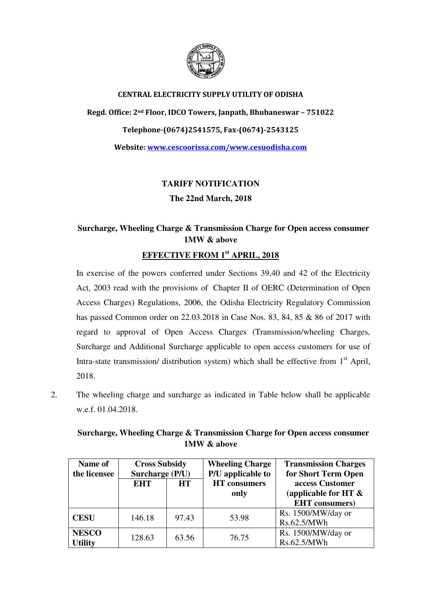

## CENTRAL ELECTRICITY SUPPLY UTILITY OF ODISHA

Regd. Office: 2nd Floor, IDCO Towers, Janpath, Bhubaneswar – 751022 Telephone-(0674)2541575, Fax-(0674)-2543125 Website: www.cescoorissa.com/www.cesuodisha.com

> **TARIFF NOTIFICATION The 22nd March, 2018**

# **Surcharge, Wheeling Charge & Transmission Charge for Open access consumer 1MW & above**

# **EFFECTIVE FROM 1st APRIL, 2018**

In exercise of the powers conferred under Sections 39,40 and 42 of the Electricity Act, 2003 read with the provisions of Chapter II of OERC (Determination of Open Access Charges) Regulations, 2006, the Odisha Electricity Regulatory Commission has passed Common order on 22.03.2018 in Case Nos. 83, 84, 85 & 86 of 2017 with regard to approval of Open Access Charges (Transmission/wheeling Charges, Surcharge and Additional Surcharge applicable to open access customers for use of Intra-state transmission/ distribution system) which shall be effective from  $1<sup>st</sup>$  April, 2018.

2. The wheeling charge and surcharge as indicated in Table below shall be applicable w.e.f. 01.04.2018.

| Surcharge, Wheeling Charge & Transmission Charge for Open access consumer |  |             |  |  |
|---------------------------------------------------------------------------|--|-------------|--|--|
|                                                                           |  | 1MW & above |  |  |

| <b>Cross Subsidy</b><br>Name of |                         | <b>Wheeling Charge</b> | <b>Transmission Charges</b> |                         |
|---------------------------------|-------------------------|------------------------|-----------------------------|-------------------------|
| the licensee                    | Surcharge (P/U)         |                        | P/U applicable to           | for Short Term Open     |
|                                 | <b>EHT</b><br><b>HT</b> |                        | <b>HT</b> consumers         | access Customer         |
|                                 |                         |                        | only                        | (applicable for HT $\&$ |
|                                 |                         |                        |                             | <b>EHT</b> consumers)   |
| <b>CESU</b>                     | 146.18                  | 97.43                  | 53.98                       | Rs. 1500/MW/day or      |
|                                 |                         |                        |                             | Rs.62.5/MWh             |
| <b>NESCO</b>                    | 128.63                  | 63.56                  | 76.75                       | Rs. 1500/MW/day or      |
| <b>Utility</b>                  |                         |                        |                             | Rs.62.5/MWh             |